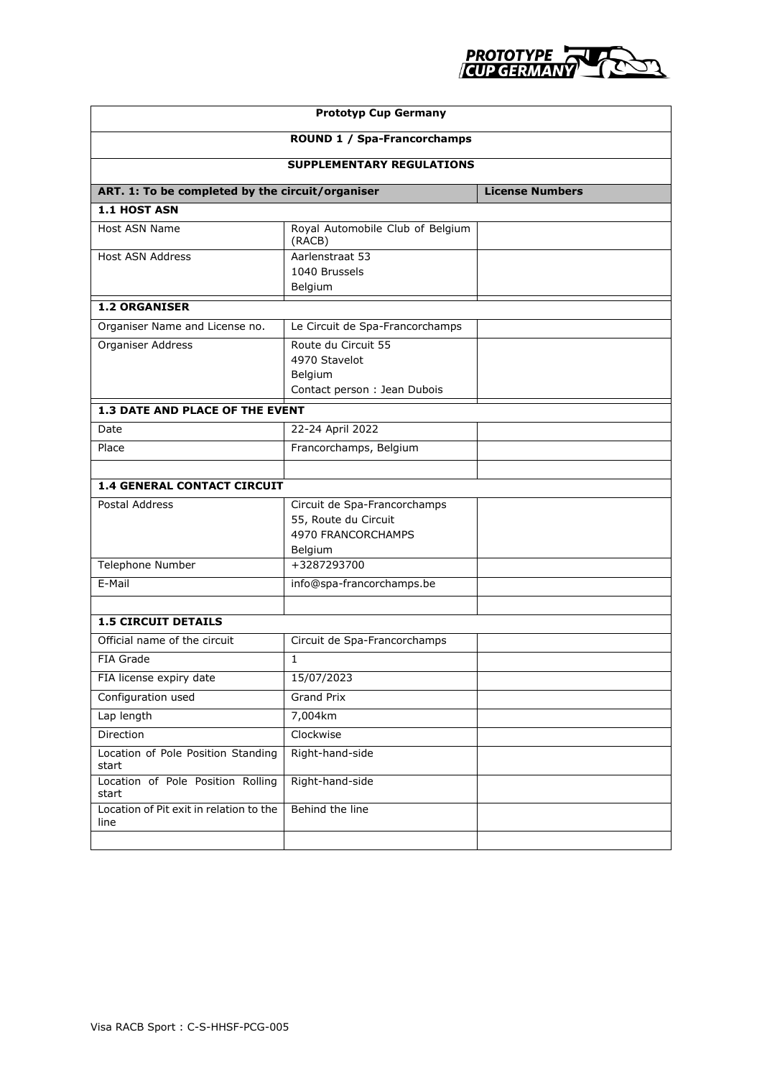

| <b>Prototyp Cup Germany</b>                      |                                                                                       |                        |  |  |
|--------------------------------------------------|---------------------------------------------------------------------------------------|------------------------|--|--|
| ROUND 1 / Spa-Francorchamps                      |                                                                                       |                        |  |  |
| <b>SUPPLEMENTARY REGULATIONS</b>                 |                                                                                       |                        |  |  |
| ART. 1: To be completed by the circuit/organiser |                                                                                       | <b>License Numbers</b> |  |  |
| 1.1 HOST ASN                                     |                                                                                       |                        |  |  |
| Host ASN Name                                    | Royal Automobile Club of Belgium<br>(RACB)                                            |                        |  |  |
| <b>Host ASN Address</b>                          | Aarlenstraat 53<br>1040 Brussels<br>Belgium                                           |                        |  |  |
| <b>1.2 ORGANISER</b>                             |                                                                                       |                        |  |  |
| Organiser Name and License no.                   | Le Circuit de Spa-Francorchamps                                                       |                        |  |  |
| Organiser Address                                | Route du Circuit 55<br>4970 Stavelot<br>Belgium<br>Contact person : Jean Dubois       |                        |  |  |
| 1.3 DATE AND PLACE OF THE EVENT                  |                                                                                       |                        |  |  |
| Date                                             | 22-24 April 2022                                                                      |                        |  |  |
| Place                                            | Francorchamps, Belgium                                                                |                        |  |  |
| 1.4 GENERAL CONTACT CIRCUIT                      |                                                                                       |                        |  |  |
| <b>Postal Address</b>                            | Circuit de Spa-Francorchamps<br>55, Route du Circuit<br>4970 FRANCORCHAMPS<br>Belgium |                        |  |  |
| <b>Telephone Number</b>                          | +3287293700                                                                           |                        |  |  |
| E-Mail                                           | info@spa-francorchamps.be                                                             |                        |  |  |
|                                                  |                                                                                       |                        |  |  |
| <b>1.5 CIRCUIT DETAILS</b>                       |                                                                                       |                        |  |  |
| Official name of the circuit                     | Circuit de Spa-Francorchamps                                                          |                        |  |  |
| FIA Grade                                        | $\mathbf{1}$                                                                          |                        |  |  |
| FIA license expiry date                          | 15/07/2023                                                                            |                        |  |  |
| Configuration used                               | <b>Grand Prix</b>                                                                     |                        |  |  |
| Lap length                                       | 7,004km                                                                               |                        |  |  |
| Direction                                        | Clockwise                                                                             |                        |  |  |
| Location of Pole Position Standing<br>start      | Right-hand-side                                                                       |                        |  |  |
| Location of Pole Position Rolling<br>start       | Right-hand-side                                                                       |                        |  |  |
| Location of Pit exit in relation to the<br>line  | Behind the line                                                                       |                        |  |  |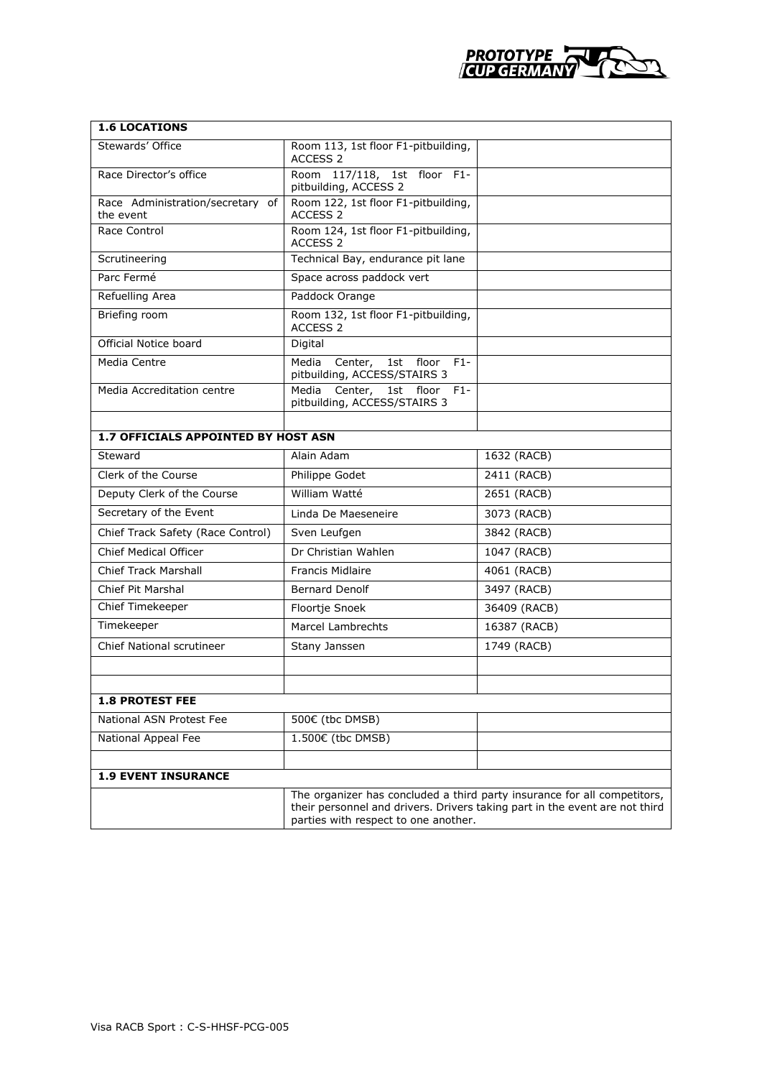

| <b>1.6 LOCATIONS</b>                          |                                                                                                                                                                                                 |              |  |  |
|-----------------------------------------------|-------------------------------------------------------------------------------------------------------------------------------------------------------------------------------------------------|--------------|--|--|
| Stewards' Office                              | Room 113, 1st floor F1-pitbuilding,<br>ACCESS <sub>2</sub>                                                                                                                                      |              |  |  |
| Race Director's office                        | Room 117/118, 1st floor F1-<br>pitbuilding, ACCESS 2                                                                                                                                            |              |  |  |
| Race Administration/secretary of<br>the event | Room 122, 1st floor F1-pitbuilding,<br><b>ACCESS 2</b>                                                                                                                                          |              |  |  |
| Race Control                                  | Room 124, 1st floor F1-pitbuilding,<br>ACCESS <sub>2</sub>                                                                                                                                      |              |  |  |
| Scrutineering                                 | Technical Bay, endurance pit lane                                                                                                                                                               |              |  |  |
| Parc Fermé                                    | Space across paddock vert                                                                                                                                                                       |              |  |  |
| Refuelling Area                               | Paddock Orange                                                                                                                                                                                  |              |  |  |
| Briefing room                                 | Room 132, 1st floor F1-pitbuilding,<br>ACCESS <sub>2</sub>                                                                                                                                      |              |  |  |
| Official Notice board                         | Digital                                                                                                                                                                                         |              |  |  |
| Media Centre                                  | Media<br>Center,<br>1st floor<br>$F1 -$<br>pitbuilding, ACCESS/STAIRS 3                                                                                                                         |              |  |  |
| Media Accreditation centre                    | Media Center,<br>1st floor<br>$F1 -$<br>pitbuilding, ACCESS/STAIRS 3                                                                                                                            |              |  |  |
|                                               |                                                                                                                                                                                                 |              |  |  |
| <b>1.7 OFFICIALS APPOINTED BY HOST ASN</b>    |                                                                                                                                                                                                 |              |  |  |
| Steward                                       | Alain Adam                                                                                                                                                                                      | 1632 (RACB)  |  |  |
| Clerk of the Course                           | Philippe Godet                                                                                                                                                                                  | 2411 (RACB)  |  |  |
| Deputy Clerk of the Course                    | William Watté                                                                                                                                                                                   | 2651 (RACB)  |  |  |
| Secretary of the Event                        | Linda De Maeseneire                                                                                                                                                                             | 3073 (RACB)  |  |  |
| Chief Track Safety (Race Control)             | Sven Leufgen                                                                                                                                                                                    | 3842 (RACB)  |  |  |
| <b>Chief Medical Officer</b>                  | Dr Christian Wahlen                                                                                                                                                                             | 1047 (RACB)  |  |  |
| <b>Chief Track Marshall</b>                   | <b>Francis Midlaire</b>                                                                                                                                                                         | 4061 (RACB)  |  |  |
| <b>Chief Pit Marshal</b>                      | <b>Bernard Denolf</b>                                                                                                                                                                           | 3497 (RACB)  |  |  |
| Chief Timekeeper                              | Floortje Snoek                                                                                                                                                                                  | 36409 (RACB) |  |  |
| Timekeeper                                    | <b>Marcel Lambrechts</b>                                                                                                                                                                        | 16387 (RACB) |  |  |
| <b>Chief National scrutineer</b>              | Stany Janssen                                                                                                                                                                                   | 1749 (RACB)  |  |  |
|                                               |                                                                                                                                                                                                 |              |  |  |
|                                               |                                                                                                                                                                                                 |              |  |  |
| <b>1.8 PROTEST FEE</b>                        |                                                                                                                                                                                                 |              |  |  |
| National ASN Protest Fee                      | 500€ (tbc DMSB)                                                                                                                                                                                 |              |  |  |
| National Appeal Fee                           | 1.500€ (tbc DMSB)                                                                                                                                                                               |              |  |  |
|                                               |                                                                                                                                                                                                 |              |  |  |
| <b>1.9 EVENT INSURANCE</b>                    |                                                                                                                                                                                                 |              |  |  |
|                                               | The organizer has concluded a third party insurance for all competitors,<br>their personnel and drivers. Drivers taking part in the event are not third<br>parties with respect to one another. |              |  |  |